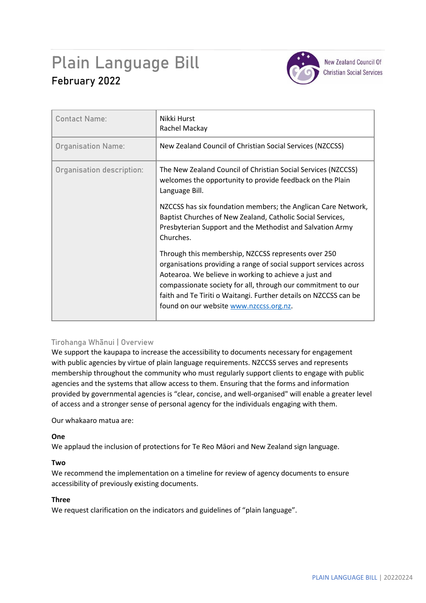# Plain Language Bill **February 2022**



**New Zealand Council Of Christian Social Services** 

| <b>Contact Name:</b>      | Nikki Hurst<br>Rachel Mackay                                                                                                                                                                                                                                                                                                                                     |
|---------------------------|------------------------------------------------------------------------------------------------------------------------------------------------------------------------------------------------------------------------------------------------------------------------------------------------------------------------------------------------------------------|
| <b>Organisation Name:</b> | New Zealand Council of Christian Social Services (NZCCSS)                                                                                                                                                                                                                                                                                                        |
| Organisation description: | The New Zealand Council of Christian Social Services (NZCCSS)<br>welcomes the opportunity to provide feedback on the Plain<br>Language Bill.                                                                                                                                                                                                                     |
|                           | NZCCSS has six foundation members; the Anglican Care Network,<br>Baptist Churches of New Zealand, Catholic Social Services,<br>Presbyterian Support and the Methodist and Salvation Army<br>Churches.                                                                                                                                                            |
|                           | Through this membership, NZCCSS represents over 250<br>organisations providing a range of social support services across<br>Aotearoa. We believe in working to achieve a just and<br>compassionate society for all, through our commitment to our<br>faith and Te Tiriti o Waitangi. Further details on NZCCSS can be<br>found on our website www.nzccss.org.nz. |

## **Tirohanga Whānui | Overview**

We support the kaupapa to increase the accessibility to documents necessary for engagement with public agencies by virtue of plain language requirements. NZCCSS serves and represents membership throughout the community who must regularly support clients to engage with public agencies and the systems that allow access to them. Ensuring that the forms and information provided by governmental agencies is "clear, concise, and well-organised" will enable a greater level of access and a stronger sense of personal agency for the individuals engaging with them.

## Our whakaaro matua are:

## **One**

We applaud the inclusion of protections for Te Reo Māori and New Zealand sign language.

## **Two**

We recommend the implementation on a timeline for review of agency documents to ensure accessibility of previously existing documents.

#### **Three**

We request clarification on the indicators and guidelines of "plain language".